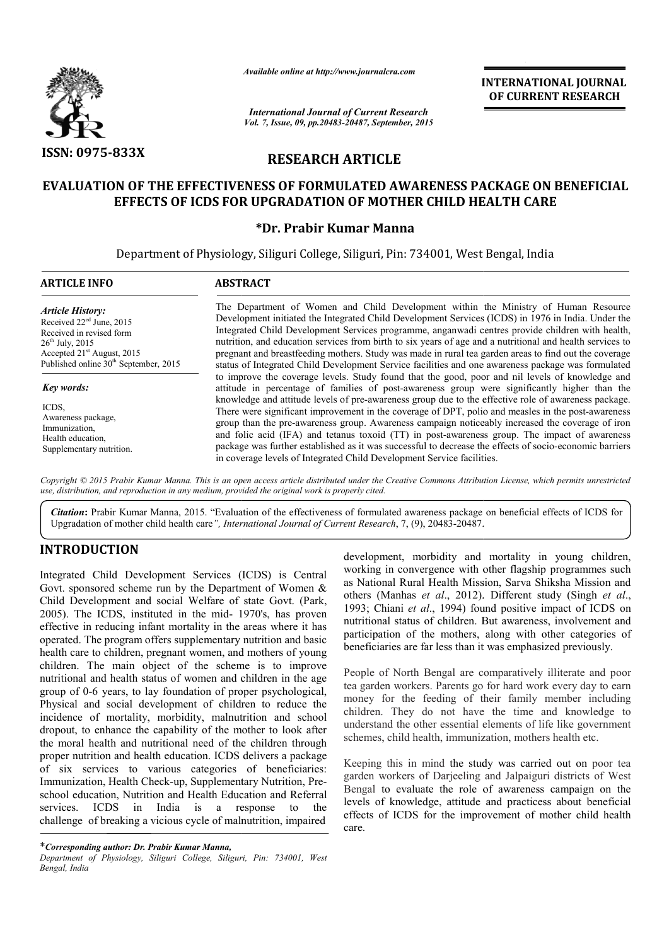

*Available online at http://www.journalcra.com*

*International Journal of Current Research Vol. 7, Issue, 09, pp.20483-20487, September, 2015* INTERNATIONAL INTERNATIONAL JOURNAL OF CURRENT RESEARCH

# RESEARCH ARTICLE

## EVALUATION OF THE EFFECTIVENESS OF FORMULATED AWARENESS PACKAGE ON BENEFICIAL EFFECTS OF ICDS FOR UPGRADATION OF MOTHER CHILD HEALTH CARE

## \*Dr. Prabir Kumar Manna

Department of Physiology, Siliguri College, Siliguri, Pin: 734001, West Bengal, India

| <b>ARTICLE INFO</b>                                                                                                                                                                                                       | <b>ABSTRACT</b>                                                                                                                                                                                                                                                                                                                                                                                                                                                                                                                                                                                                                                                                                                                                                                                          |  |  |  |
|---------------------------------------------------------------------------------------------------------------------------------------------------------------------------------------------------------------------------|----------------------------------------------------------------------------------------------------------------------------------------------------------------------------------------------------------------------------------------------------------------------------------------------------------------------------------------------------------------------------------------------------------------------------------------------------------------------------------------------------------------------------------------------------------------------------------------------------------------------------------------------------------------------------------------------------------------------------------------------------------------------------------------------------------|--|--|--|
| <b>Article History:</b><br>Received 22 <sup>ed</sup> June, 2015<br>Received in revised form<br>$26^{\text{th}}$ July, 2015<br>Accepted 21 <sup>st</sup> August, 2015<br>Published online 30 <sup>th</sup> September, 2015 | The Department of Women and Child Development within the Ministry of Human Resource<br>Development initiated the Integrated Child Development Services (ICDS) in 1976 in India. Under the<br>Integrated Child Development Services programme, anganwadi centres provide children with health,<br>nutrition, and education services from birth to six years of age and a nutritional and health services to<br>pregnant and breastfeeding mothers. Study was made in rural tea garden areas to find out the coverage<br>status of Integrated Child Development Service facilities and one awareness package was formulated                                                                                                                                                                                |  |  |  |
| <b>Key words:</b><br>ICDS.<br>Awareness package,<br>Immunization,<br>Health education,<br>Supplementary nutrition.                                                                                                        | to improve the coverage levels. Study found that the good, poor and nil levels of knowledge and<br>attitude in percentage of families of post-awareness group were significantly higher than the<br>knowledge and attitude levels of pre-awareness group due to the effective role of awareness package.<br>There were significant improvement in the coverage of DPT, polio and measles in the post-awareness<br>group than the pre-awareness group. Awareness campaign noticeably increased the coverage of iron<br>and folic acid (IFA) and tetanus toxoid (TT) in post-awareness group. The impact of awareness<br>package was further established as it was successful to decrease the effects of socio-economic barriers<br>in coverage levels of Integrated Child Development Service facilities. |  |  |  |

*Copyright © 2015 Prabir Kumar Manna. This is an open access article distributed under the Creative Commons Att Attribution License, which ribution License, which permits unrestricted use, distribution, and reproduction in any medium, provided the original work is properly cited.*

Citation: Prabir Kumar Manna, 2015. "Evaluation of the effectiveness of formulated awareness package on beneficial effects of ICDS for Citation: Prabir Kumar Manna, 2015. "Evaluation of the effectiveness of formulated awareness package Upgradation of mother child health care<sup>"</sup>, *International Journal of Current Research*, 7, (9), 20483-20487.

# INTRODUCTION

Integrated Child Development Services (ICDS) is Central Govt. sponsored scheme run by the Department of Women & Child Development and social Welfare of state Govt. (Park, 2005). The ICDS, instituted in the mid- 1970's, has proven effective in reducing infant mortality in the areas where it has operated. The program offers supplementary nutrition and basic health care to children, pregnant women, and mothers of young children. The main object of the scheme is to improve nutritional and health status of women and children in the age group of 0-6 years, to lay foundation of proper psychological, Physical and social development of children to reduce the incidence of mortality, morbidity, malnutrition and school dropout, to enhance the capability of the mother to look after the moral health and nutritional need of the children through proper nutrition and health education. ICDS delivers a package of six services to various categories of beneficiaries: Immunization, Health Check-up, Supplementary Nutrition, Preschool education, Nutrition and Health Education and Referral<br>services. ICDS in India is a response to the services. ICDS in India is a response to the challenge of breaking a vicious cycle of malnutrition, impaired reducing infant<br>the program offer<br>to children, preg<br>he main objec<br>and health status<br>6 years, to lay f

development, morbidity and mortality in young children, working in convergence with other flagship programmes such development, morbidity and mortality in young children, working in convergence with other flagship programmes such as National Rural Health Mission, Sarva Shiksha Mission and others (Manhas et al., 2012). Different study (Singh et al., 1993; Chiani *et al*., 1994) found positive impact of ICDS on nutritional status of children. But awareness, involvement and participation of the mothers, along with other categories of beneficiaries are far less than it was emphasized previously.

People of North Bengal are comparatively illiterate and poor tea garden workers. Parents go for hard work every day to earn money for the feeding of their family member including children. They do not have the time and knowledge to understand the other essential elements of life like government schemes, child health, immunization, mothers health etc. 3; Chiani *et al.*, 1994) found positive impact of ICDS on itional status of children. But awareness, involvement and ticipation of the mothers, along with other categories of eficiaries are far less than it was emphasized

Keeping this in mind the study was carried out on poor tea garden workers of Darjeeling and Jalpaiguri districts of West garden workers of Darjeeling and Jalpaiguri districts of West<br>Bengal to evaluate the role of awareness campaign on the levels of knowledge, attitude and practicess about beneficial effects of ICDS for the improvement of mother child health care.

<sup>\*</sup>*Corresponding author: Dr. Prabir Kumar Manna, Department of Physiology, Siliguri College, Siliguri, Pin: 734001, West Bengal, India*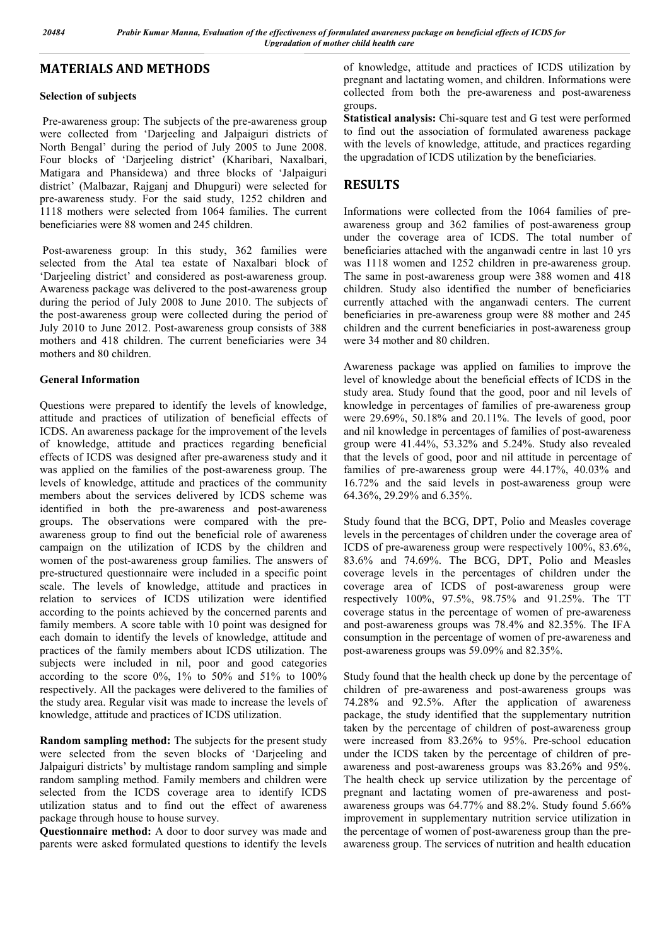### MATERIALS AND METHODS

### Selection of subjects

Pre-awareness group: The subjects of the pre-awareness group were collected from 'Darjeeling and Jalpaiguri districts of North Bengal' during the period of July 2005 to June 2008. Four blocks of 'Darjeeling district' (Kharibari, Naxalbari, Matigara and Phansidewa) and three blocks of 'Jalpaiguri district' (Malbazar, Rajganj and Dhupguri) were selected for pre-awareness study. For the said study, 1252 children and 1118 mothers were selected from 1064 families. The current beneficiaries were 88 women and 245 children.

Post-awareness group: In this study, 362 families were selected from the Atal tea estate of Naxalbari block of 'Darjeeling district' and considered as post-awareness group. Awareness package was delivered to the post-awareness group during the period of July 2008 to June 2010. The subjects of the post-awareness group were collected during the period of July 2010 to June 2012. Post-awareness group consists of 388 mothers and 418 children. The current beneficiaries were 34 mothers and 80 children.

### General Information

Questions were prepared to identify the levels of knowledge, attitude and practices of utilization of beneficial effects of ICDS. An awareness package for the improvement of the levels of knowledge, attitude and practices regarding beneficial effects of ICDS was designed after pre-awareness study and it was applied on the families of the post-awareness group. The levels of knowledge, attitude and practices of the community members about the services delivered by ICDS scheme was identified in both the pre-awareness and post-awareness groups. The observations were compared with the preawareness group to find out the beneficial role of awareness campaign on the utilization of ICDS by the children and women of the post-awareness group families. The answers of pre-structured questionnaire were included in a specific point scale. The levels of knowledge, attitude and practices in relation to services of ICDS utilization were identified according to the points achieved by the concerned parents and family members. A score table with 10 point was designed for each domain to identify the levels of knowledge, attitude and practices of the family members about ICDS utilization. The subjects were included in nil, poor and good categories according to the score  $0\%$ ,  $1\%$  to  $50\%$  and  $51\%$  to  $100\%$ respectively. All the packages were delivered to the families of the study area. Regular visit was made to increase the levels of knowledge, attitude and practices of ICDS utilization.

Random sampling method: The subjects for the present study were selected from the seven blocks of 'Darjeeling and Jalpaiguri districts' by multistage random sampling and simple random sampling method. Family members and children were selected from the ICDS coverage area to identify ICDS utilization status and to find out the effect of awareness package through house to house survey.

Questionnaire method: A door to door survey was made and parents were asked formulated questions to identify the levels of knowledge, attitude and practices of ICDS utilization by pregnant and lactating women, and children. Informations were collected from both the pre-awareness and post-awareness groups.

Statistical analysis: Chi-square test and G test were performed to find out the association of formulated awareness package with the levels of knowledge, attitude, and practices regarding the upgradation of ICDS utilization by the beneficiaries.

# RESULTS

Informations were collected from the 1064 families of preawareness group and 362 families of post-awareness group under the coverage area of ICDS. The total number of beneficiaries attached with the anganwadi centre in last 10 yrs was 1118 women and 1252 children in pre-awareness group. The same in post-awareness group were 388 women and 418 children. Study also identified the number of beneficiaries currently attached with the anganwadi centers. The current beneficiaries in pre-awareness group were 88 mother and 245 children and the current beneficiaries in post-awareness group were 34 mother and 80 children.

Awareness package was applied on families to improve the level of knowledge about the beneficial effects of ICDS in the study area. Study found that the good, poor and nil levels of knowledge in percentages of families of pre-awareness group were 29.69%, 50.18% and 20.11%. The levels of good, poor and nil knowledge in percentages of families of post-awareness group were 41.44%, 53.32% and 5.24%. Study also revealed that the levels of good, poor and nil attitude in percentage of families of pre-awareness group were 44.17%, 40.03% and 16.72% and the said levels in post-awareness group were 64.36%, 29.29% and 6.35%.

Study found that the BCG, DPT, Polio and Measles coverage levels in the percentages of children under the coverage area of ICDS of pre-awareness group were respectively 100%, 83.6%, 83.6% and 74.69%. The BCG, DPT, Polio and Measles coverage levels in the percentages of children under the coverage area of ICDS of post-awareness group were respectively 100%, 97.5%, 98.75% and 91.25%. The TT coverage status in the percentage of women of pre-awareness and post-awareness groups was 78.4% and 82.35%. The IFA consumption in the percentage of women of pre-awareness and post-awareness groups was 59.09% and 82.35%.

Study found that the health check up done by the percentage of children of pre-awareness and post-awareness groups was 74.28% and 92.5%. After the application of awareness package, the study identified that the supplementary nutrition taken by the percentage of children of post-awareness group were increased from 83.26% to 95%. Pre-school education under the ICDS taken by the percentage of children of preawareness and post-awareness groups was 83.26% and 95%. The health check up service utilization by the percentage of pregnant and lactating women of pre-awareness and postawareness groups was 64.77% and 88.2%. Study found 5.66% improvement in supplementary nutrition service utilization in the percentage of women of post-awareness group than the preawareness group. The services of nutrition and health education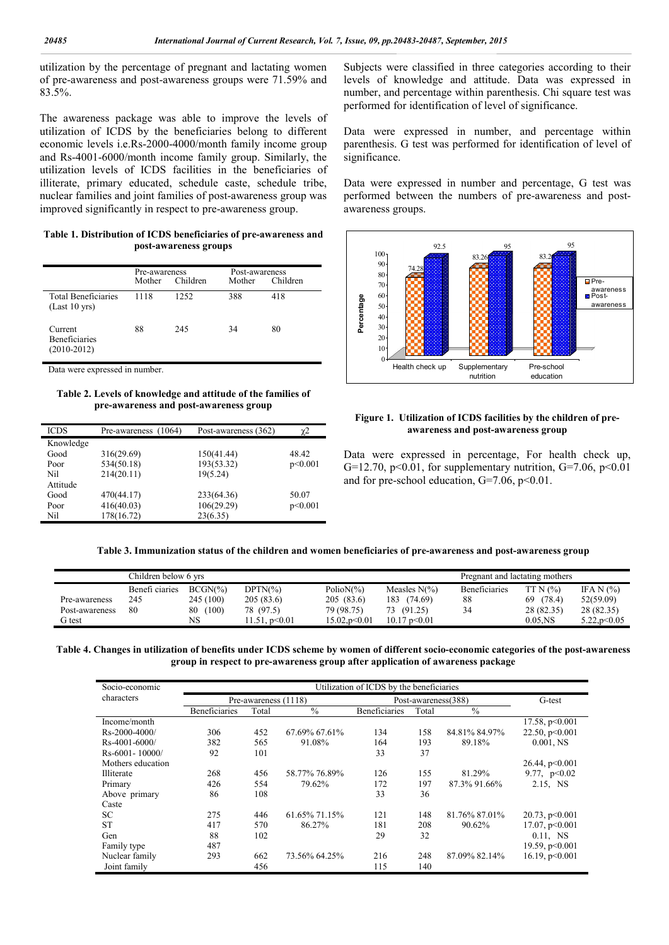utilization by the percentage of pregnant and lactating women of pre-awareness and post-awareness groups were 71.59% and 83.5%.

The awareness package was able to improve the levels of utilization of ICDS by the beneficiaries belong to different economic levels i.e.Rs-2000-4000/month family income group and Rs-4001-6000/month income family group. Similarly, the utilization levels of ICDS facilities in the beneficiaries of illiterate, primary educated, schedule caste, schedule tribe, nuclear families and joint families of post-awareness group was improved significantly in respect to pre-awareness group.

Table 1. Distribution of ICDS beneficiaries of pre-awareness and post-awareness groups

|                                                  | Pre-awareness<br>Children<br>Mother |      | Post-awareness<br>Mother | Children |
|--------------------------------------------------|-------------------------------------|------|--------------------------|----------|
| Total Beneficiaries<br>$(Last 10 \text{ yrs})$   | 1118                                | 1252 | 388                      | 418      |
| Current<br><b>Beneficiaries</b><br>$(2010-2012)$ | 88                                  | 245  | 34                       | 80       |

Data were expressed in number.

Table 2. Levels of knowledge and attitude of the families of pre-awareness and post-awareness group

| Pre-awareness (1064) | Post-awareness (362) | χ2      |
|----------------------|----------------------|---------|
|                      |                      |         |
| 316(29.69)           | 150(41.44)           | 48.42   |
| 534(50.18)           | 193(53.32)           | p<0.001 |
| 214(20.11)           | 19(5.24)             |         |
|                      |                      |         |
| 470(44.17)           | 233(64.36)           | 50.07   |
| 416(40.03)           | 106(29.29)           | p<0.001 |
| 178(16.72)           | 23(6.35)             |         |
|                      |                      |         |

Subjects were classified in three categories according to their levels of knowledge and attitude. Data was expressed in number, and percentage within parenthesis. Chi square test was performed for identification of level of significance.

Data were expressed in number, and percentage within parenthesis. G test was performed for identification of level of significance.

Data were expressed in number and percentage, G test was performed between the numbers of pre-awareness and postawareness groups.





Data were expressed in percentage, For health check up, G=12.70, p<0.01, for supplementary nutrition, G=7.06, p<0.01 and for pre-school education,  $G=7.06$ ,  $p<0.01$ .

Table 3. Immunization status of the children and women beneficiaries of pre-awareness and post-awareness group

|                | Children below 6 yrs |             |               |                           | Pregnant and lactating mothers |                      |            |              |
|----------------|----------------------|-------------|---------------|---------------------------|--------------------------------|----------------------|------------|--------------|
|                | Benefi ciaries       | $BCGN(\% )$ | $DPTN(\% )$   | Polio $N\frac{6}{6}$      | Measles $N(\% )$               | <b>Beneficiaries</b> | TTN(%)     | IFA N $(%)$  |
| Pre-awareness  | 245                  | 245 (100)   | 205(83.6)     | 205(83.6)                 | 183 (74.69)                    | 88                   | 69 (78.4)  | 52(59.09)    |
| Post-awareness | 80                   | (100)<br>80 | 78 (97.5)     | 79 (98.75)                | 73 (91.25)                     | 34                   | 28 (82.35) | 28 (82.35)   |
| G test         |                      | NS          | 11.51, p<0.01 | $15.02,\mathrm{p}$ < 0.01 | $10.17 \text{ p} \le 0.01$     |                      | $0.05$ .NS | 5.22, p<0.05 |

Table 4. Changes in utilization of benefits under ICDS scheme by women of different socio-economic categories of the post-awareness group in respect to pre-awareness group after application of awareness package

| Socio-economic       | Utilization of ICDS by the beneficiaries |       |               |                      |       |               |                  |
|----------------------|------------------------------------------|-------|---------------|----------------------|-------|---------------|------------------|
| characters           | Pre-awareness (1118)                     |       |               | Post-awareness(388)  |       |               | G-test           |
|                      | <b>Beneficiaries</b>                     | Total | $\frac{0}{0}$ | <b>Beneficiaries</b> | Total | $\frac{0}{0}$ |                  |
| Income/month         |                                          |       |               |                      |       |               | 17.58, $p<0.001$ |
| $Rs - 2000 - 4000/$  | 306                                      | 452   | 67.69% 67.61% | 134                  | 158   | 84.81% 84.97% | 22.50, $p<0.001$ |
| $Rs-4001-6000/$      | 382                                      | 565   | 91.08%        | 164                  | 193   | 89.18%        | $0.001$ , NS     |
| $Rs - 6001 - 10000/$ | 92                                       | 101   |               | 33                   | 37    |               |                  |
| Mothers education    |                                          |       |               |                      |       |               | 26.44, p<0.001   |
| <b>Illiterate</b>    | 268                                      | 456   | 58.77% 76.89% | 126                  | 155   | 81.29%        | 9.77, $p<0.02$   |
| Primary              | 426                                      | 554   | 79.62%        | 172                  | 197   | 87.3% 91.66%  | 2.15, NS         |
| Above primary        | 86                                       | 108   |               | 33                   | 36    |               |                  |
| Caste                |                                          |       |               |                      |       |               |                  |
| <b>SC</b>            | 275                                      | 446   | 61.65% 71.15% | 121                  | 148   | 81.76% 87.01% | 20.73, $p<0.001$ |
| <b>ST</b>            | 417                                      | 570   | 86.27%        | 181                  | 208   | 90.62%        | 17.07, $p<0.001$ |
| Gen                  | 88                                       | 102   |               | 29                   | 32    |               | $0.11$ , NS      |
| Family type          | 487                                      |       |               |                      |       |               | 19.59, $p<0.001$ |
| Nuclear family       | 293                                      | 662   | 73.56% 64.25% | 216                  | 248   | 87.09% 82.14% | 16.19, $p<0.001$ |
| Joint family         |                                          | 456   |               | 115                  | 140   |               |                  |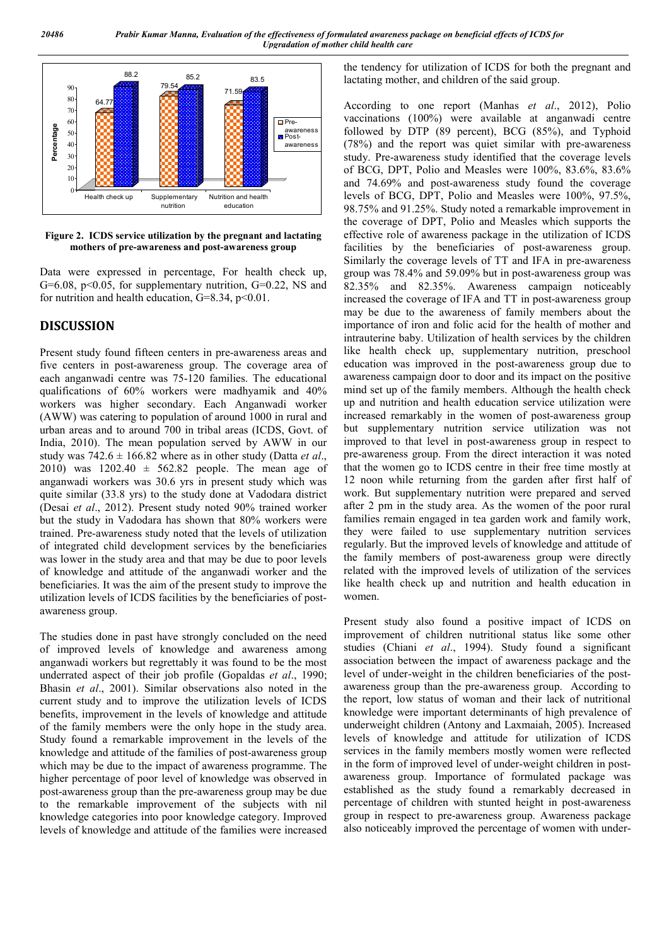

Figure 2. ICDS service utilization by the pregnant and lactating mothers of pre-awareness and post-awareness group

Data were expressed in percentage, For health check up, G=6.08,  $p<0.05$ , for supplementary nutrition, G=0.22, NS and for nutrition and health education,  $G=8.34$ ,  $p<0.01$ .

### **DISCUSSION**

Present study found fifteen centers in pre-awareness areas and five centers in post-awareness group. The coverage area of each anganwadi centre was 75-120 families. The educational qualifications of 60% workers were madhyamik and 40% workers was higher secondary. Each Anganwadi worker (AWW) was catering to population of around 1000 in rural and urban areas and to around 700 in tribal areas (ICDS, Govt. of India, 2010). The mean population served by AWW in our study was  $742.6 \pm 166.82$  where as in other study (Datta *et al.*, 2010) was  $1202.40 \pm 562.82$  people. The mean age of anganwadi workers was 30.6 yrs in present study which was quite similar (33.8 yrs) to the study done at Vadodara district (Desai *et al*., 2012). Present study noted 90% trained worker but the study in Vadodara has shown that 80% workers were trained. Pre-awareness study noted that the levels of utilization of integrated child development services by the beneficiaries was lower in the study area and that may be due to poor levels of knowledge and attitude of the anganwadi worker and the beneficiaries. It was the aim of the present study to improve the utilization levels of ICDS facilities by the beneficiaries of postawareness group.

The studies done in past have strongly concluded on the need of improved levels of knowledge and awareness among anganwadi workers but regrettably it was found to be the most underrated aspect of their job profile (Gopaldas *et al*., 1990; Bhasin *et al*., 2001). Similar observations also noted in the current study and to improve the utilization levels of ICDS benefits, improvement in the levels of knowledge and attitude of the family members were the only hope in the study area. Study found a remarkable improvement in the levels of the knowledge and attitude of the families of post-awareness group which may be due to the impact of awareness programme. The higher percentage of poor level of knowledge was observed in post-awareness group than the pre-awareness group may be due to the remarkable improvement of the subjects with nil knowledge categories into poor knowledge category. Improved levels of knowledge and attitude of the families were increased

the tendency for utilization of ICDS for both the pregnant and lactating mother, and children of the said group.

According to one report (Manhas *et al*., 2012), Polio vaccinations (100%) were available at anganwadi centre followed by DTP (89 percent), BCG (85%), and Typhoid (78%) and the report was quiet similar with pre-awareness study. Pre-awareness study identified that the coverage levels of BCG, DPT, Polio and Measles were 100%, 83.6%, 83.6% and 74.69% and post-awareness study found the coverage levels of BCG, DPT, Polio and Measles were 100%, 97.5%, 98.75% and 91.25%. Study noted a remarkable improvement in the coverage of DPT, Polio and Measles which supports the effective role of awareness package in the utilization of ICDS facilities by the beneficiaries of post-awareness group. Similarly the coverage levels of TT and IFA in pre-awareness group was 78.4% and 59.09% but in post-awareness group was 82.35% and 82.35%. Awareness campaign noticeably increased the coverage of IFA and TT in post-awareness group may be due to the awareness of family members about the importance of iron and folic acid for the health of mother and intrauterine baby. Utilization of health services by the children like health check up, supplementary nutrition, preschool education was improved in the post-awareness group due to awareness campaign door to door and its impact on the positive mind set up of the family members. Although the health check up and nutrition and health education service utilization were increased remarkably in the women of post-awareness group but supplementary nutrition service utilization was not improved to that level in post-awareness group in respect to pre-awareness group. From the direct interaction it was noted that the women go to ICDS centre in their free time mostly at 12 noon while returning from the garden after first half of work. But supplementary nutrition were prepared and served after 2 pm in the study area. As the women of the poor rural families remain engaged in tea garden work and family work, they were failed to use supplementary nutrition services regularly. But the improved levels of knowledge and attitude of the family members of post-awareness group were directly related with the improved levels of utilization of the services like health check up and nutrition and health education in women.

Present study also found a positive impact of ICDS on improvement of children nutritional status like some other studies (Chiani *et al*., 1994). Study found a significant association between the impact of awareness package and the level of under-weight in the children beneficiaries of the postawareness group than the pre-awareness group. According to the report, low status of woman and their lack of nutritional knowledge were important determinants of high prevalence of underweight children (Antony and Laxmaiah, 2005). Increased levels of knowledge and attitude for utilization of ICDS services in the family members mostly women were reflected in the form of improved level of under-weight children in postawareness group. Importance of formulated package was established as the study found a remarkably decreased in percentage of children with stunted height in post-awareness group in respect to pre-awareness group. Awareness package also noticeably improved the percentage of women with under